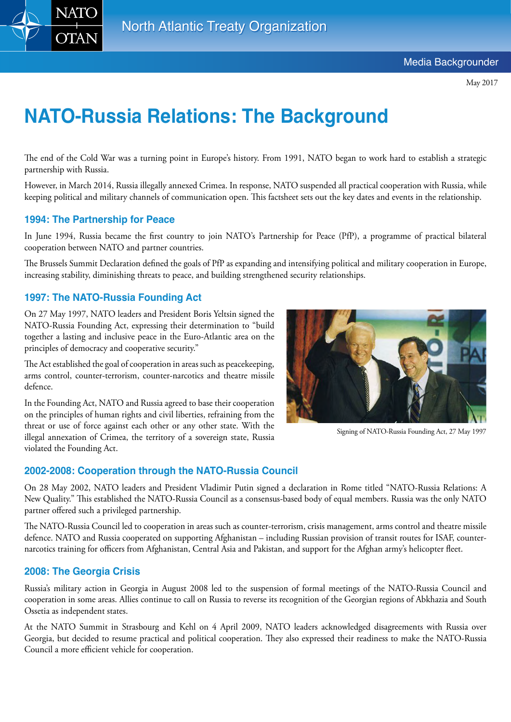

May 2017

# **NATO-Russia Relations: The Background**

The end of the Cold War was a turning point in Europe's history. From 1991, NATO began to work hard to establish a strategic partnership with Russia.

However, in March 2014, Russia illegally annexed Crimea. In response, NATO suspended all practical cooperation with Russia, while keeping political and military channels of communication open. This factsheet sets out the key dates and events in the relationship.

## **1994: The Partnership for Peace**

In June 1994, Russia became the first country to join NATO's Partnership for Peace (PfP), a programme of practical bilateral cooperation between NATO and partner countries.

The Brussels Summit Declaration defined the goals of PfP as expanding and intensifying political and military cooperation in Europe, increasing stability, diminishing threats to peace, and building strengthened security relationships.

## **1997: The NATO-Russia Founding Act**

On 27 May 1997, NATO leaders and President Boris Yeltsin signed the NATO-Russia Founding Act, expressing their determination to "build together a lasting and inclusive peace in the Euro-Atlantic area on the principles of democracy and cooperative security."

The Act established the goal of cooperation in areas such as peacekeeping, arms control, counter-terrorism, counter-narcotics and theatre missile defence.

In the Founding Act, NATO and Russia agreed to base their cooperation on the principles of human rights and civil liberties, refraining from the threat or use of force against each other or any other state. With the illegal annexation of Crimea, the territory of a sovereign state, Russia violated the Founding Act.



Signing of NATO-Russia Founding Act, 27 May 1997

#### **2002-2008: Cooperation through the NATO-Russia Council**

On 28 May 2002, NATO leaders and President Vladimir Putin signed a declaration in Rome titled "NATO-Russia Relations: A New Quality." This established the NATO-Russia Council as a consensus-based body of equal members. Russia was the only NATO partner offered such a privileged partnership.

The NATO-Russia Council led to cooperation in areas such as counter-terrorism, crisis management, arms control and theatre missile defence. NATO and Russia cooperated on supporting Afghanistan – including Russian provision of transit routes for ISAF, counternarcotics training for officers from Afghanistan, Central Asia and Pakistan, and support for the Afghan army's helicopter fleet.

## **2008: The Georgia Crisis**

Russia's military action in Georgia in August 2008 led to the suspension of formal meetings of the NATO-Russia Council and cooperation in some areas. Allies continue to call on Russia to reverse its recognition of the Georgian regions of Abkhazia and South Ossetia as independent states.

At the NATO Summit in Strasbourg and Kehl on 4 April 2009, NATO leaders acknowledged disagreements with Russia over Georgia, but decided to resume practical and political cooperation. They also expressed their readiness to make the NATO-Russia Council a more efficient vehicle for cooperation.